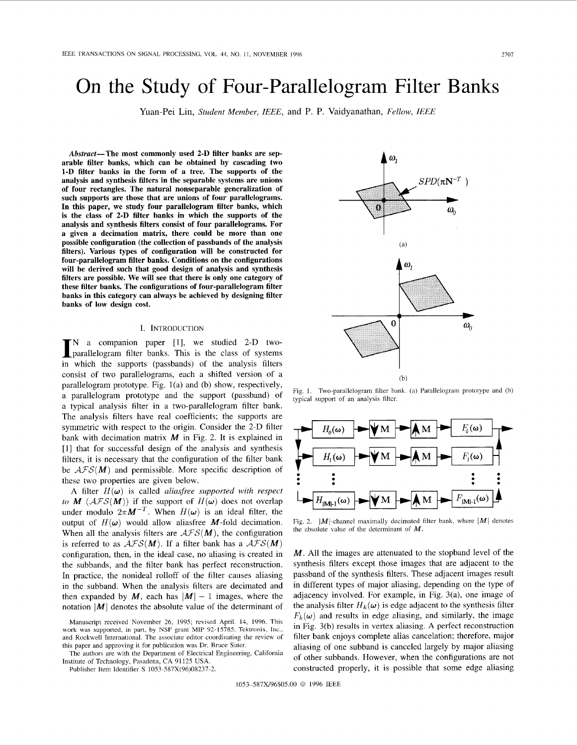# <span id="page-0-0"></span>On the Study of Four-Parallelogram Filter Banks

Yuan-Pei Lin, *Student Member, IEEE,* and P. P. Vaidyanathan, *Fellow, IEEE* 

Abstract-The most commonly used 2-D filter banks are separable filter banks, which can be obtained by cascading two **1-D** filter banks in the form of a tree. The supports of the analysis and synthesis filters in the separable systems are unions of four rectangles. The natural nonseparable generalization of such supports are those that are unions of four parallelograms. In this paper, we study four parallelogram filter banks, which is the class of 2-D filter banks in which the supports of the analysis and synthesis filters consist of four parallelograms. For a given a decimation matrix, there could be more than one possible configuration (the collection of passbands of the analysis filters). Various types of configuration will be constructed for four-parallelogram filter banks. Conditions on the configurations will be derived such that good design of analysis and synthesis filters are possible. We will see that there is only one category of these filter banks. The configurations of four-parallelogram filter banks in this category can always be achieved by designing filter banks of low design cost.

#### 1. INTRODUCTION

**IN** a companion paper [1], we studied 2-D two-<br>parallelogram filter banks. This is the class of systems in which the supports (passbands) of the analysis filters consist of two parallelograms, each a shifted version of a parallelogram prototype. Fig. l(a) and (b) show, respectively, a parallelogram prototype and the support (passband) of a typical analysis filter in a two-parallelogram filter bank. The analysis filters have real coefficients; the supports are symmetric with respect to the origin. Consider the 2-D filter bank with decimation matrix  $M$  in Fig. 2. It is explained in [l] that for successful design of the analysis and synthesis filters, it is necessary that the configuration of the filter bank be  $\mathcal{AFS}(M)$  and permissible. More specific description of these two properties are given below.

A filter  $H(\omega)$  is called *aliasfree supported with respect to* **M** ( $\mathcal{AFS}(M)$ ) if the support of  $H(\omega)$  does not overlap under modulo  $2\pi M^{-T}$ . When  $H(\omega)$  is an ideal filter, the output of  $H(\omega)$  would allow aliasfree M-fold decimation. When all the analysis filters are  $\mathcal{AFS}(M)$ , the configuration is referred to as  $\mathcal{AFS}(M)$ . If a filter bank has a  $\mathcal{AFS}(M)$ configuration, then, in the ideal case, no aliasing is created in the subbands, and the filter bank has perfect reconstruction. In practice, the nonideal rolloff of the filter causes aliasing in the subband. When the analysis filters are decimated and then expanded by M, each has  $|M| - 1$  images, where the notation  $|M|$  denotes the absolute value of the determinant of

The authors are with the Department of Electrical Engineering, Califomia Institute of Technology, Pasadena, CA 91 125 USA.



Fig. 1. Two-parallelogram filter bank. (a) Parallelogram prototype and (b) typical support *of* an analysis filtcr.



Fig. 2.  $|M|$ -channel maximally decimated filter bank, where  $|M|$  denotes the absolute value *of* the determinant of *M.* 

M. All the images are attenuated to the stopband level of the synthesis filters except those images that are adjacent to the passband of the synthesis filters. These adjacent images result in different types of major aliasing, depending on the type of adjacency involved. For example, in Fig. 3(a), one image of the analysis filter  $H_k(\omega)$  is edge adjacent to the synthesis filter  $F_k(\omega)$  and results in edge aliasing, and similarly, the image in Fig. 3(b) results in vertex aliasing. A perfect reconstruction filter bank enjoys complete alias cancelation; therefore, major aliasing of one subband is canceled largely by major aliasing of other subbands. However, when the configurations are not constructed properly, it is possible that some edge aliasing

Manuscript received November 26, 1995; revised April. 14, 1996. This work was supported, in part, by NSF grant MIP 92-15785, Tektronix, Inc., and Rockwell International. The associate editor coordinating the review *of*  this paper and approving it for publication was Dr. Bruce Suter.

Publisher Item Identifier **S** 1053-587X(96)08237-2.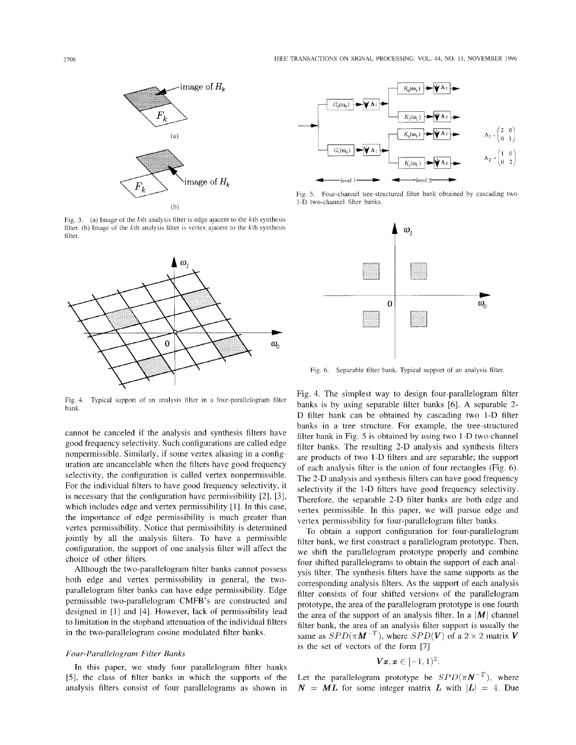

Fig. 3. (a) Image of the kth analysis filter is edge ajacent to the kth synthesis filter. (b) Image of the  $k$ th analysis filter is vertex ajacent to the  $k$ th synthesis filter.



Fig. 4. Typical support of an analysis filter in a four-parallelogram filtcr bank.

cannot be canceled if the analysis and synthesis filters have good frequency selectivity. Such configurations are called edge nonpermissible. Similarly, if some vertex aliasing in a configuration are uncancelable when the filters have good frequency selectivity, the configuration is called vertex nonpermissible. For the individual filters to have good frequency selectivity, it is necessary that the configuration have permissibility [2], *[3],*  which includes edge and vertex permissibility [I]. In this case, the importance of edge permissibility is much greater than vertex permissibility. Notice that permissibility is determined jointly by all the analysis filters. To have a permissible configuration, the support of one analysis filter will affect the choice of other filters.

Although the two-parallelogram filter banks cannot possess both edge and vertex permissibility in general, the twoparallelogram filter banks can have edge permissibility. Edge permissible two-parallelogram CMFB's are constructed and designed in [l] and [4]. However, lack of permissibility lead to limitation in the stopband attenuation of the individual filters in the two-parallelogram cosine modulated filter banks.

## *Four-Parallelogram Filter Banks*

In this paper, we study four parallelogram filter banks *[5],* the class of filter banks in which the supports of the analysis filters consist of four parallelograms as shown in



Fig. *5.*  Four-channel tree-structured filter bank obtained by cascading two I-D two-channel filter banks.



Fig. 6. Separable filter bank. Typical support of an analysis filter

Fig. 4. The simplest way to design four-parallelogram filter banks is by using separable filter banks [6]. A separable *2-*  D filter bank can be obtained by cascading two 1-D filter banks in a tree structure. For example, the tree-structured filter bank in Fig. *5* is obtained by using two 1-D two-channel filter banks. The resulting 2-D analysis and synthesis filters are products of two 1-D filters and are separable; the support of each analysis filter is the union of four rectangles (Fig. 6). The 2-D analysis and synthesis filters can have good frequency selectivity if the I-D filters have good frequency selectivity. Therefore, the separable 2-D filter banks are both edge and vertex permissible. In this paper, we will pursue edge and vertex permissibility for four-parallelogram filter banks.

To obtain a support configuration for four-parallelogram filter bank, we first construct a parallelogram prototype. Then, we shift the parallelogram prototype properly and combine four shifted parallelograms to obtain the support of each analysis filter. The synthesis filters have the same supports as the corresponding analysis filters. As the support of each analysis filter consists of four shifted versions of the parallelogram prototype, the area of the parallelogram prototype is one fourth the area of the support of an analysis filter. In a  $|M|$  channel filter bank, the area of an analysis filter support is usually the same as  $SPD(\pi M^{-T})$ , where  $SPD(V)$  of a 2 × 2 matrix V is the set of vectors of the form [7]

$$
\boldsymbol{V}\boldsymbol{x}, \boldsymbol{x} \in [-1,1)^2.
$$

Let the parallelogram prototype be  $SPD(\pi N^{-T})$ , where  $N = ML$  for some integer matrix *L* with  $|L| = 4$ . Due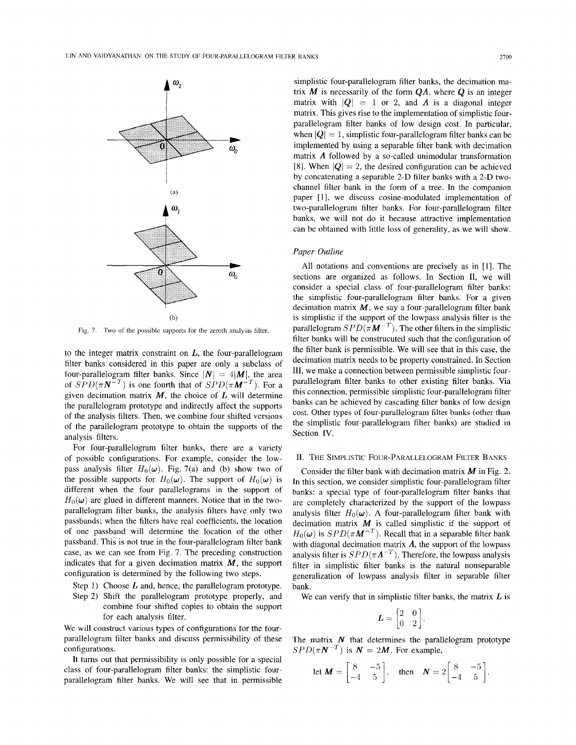

Fig. 7. Two of the possible supports for the zeroth analysis filter.

to the integer matrix constraint on *L,* the four-parallelogram filter banks considered in this paper are only a subclass of four-parallelogram filter banks. Since  $|\mathbf{N}| = 4|\mathbf{M}|$ , the area of  $SPD(\pi N^{-T})$  is one fourth that of  $SPD(\pi M^{-T})$ . For a given decimation matrix *M,* the choice of *L* will determine the parallelogram prototype and indirectly affect the supports of the analysis filters. Then, we combine four shifted versions of the parallelogram prototype to obtain the supports of the analysis filters.

For four-parallelogram filter banks, there are a variety of possible configurations. For example, consider the lowpass analysis filter  $H_0(\omega)$ . Fig. 7(a) and (b) show two of the possible supports for  $H_0(\omega)$ . The support of  $H_0(\omega)$  is different when the four parallelograms in the support of  $H_0(\omega)$  are glued in different manners. Notice that in the twoparallelogram filter banks, the analysis filters have only two passbands; when the filters have real coefficients, the location of one passband will determine the location of the other passband. This is not true in the four-parallelogram filter bank case, as we can see from Fig. 7. The preceding construction indicates that for a given decimation matrix  $M$ , the support configuration is determined by the following two steps.

- Step 1) Choose *L* and, hence, the parallelogram prototype.
- Step 2) Shift the parallelogram prototype properly, and combine four shifted copies to obtain the support for each analysis filter.

We will construct various types of configurations for the fourparallelogram filter banks and discuss permissibility of these configurations.

It turns out that permissibility is only possible for a special class of four-parallelogram filter banks: the simplistic fourparallelogram filter banks. We will see that in permissible

simplistic four-parallelogram filter banks, the decimation matrix  $M$  is necessarily of the form  $QA$ , where  $Q$  is an integer matrix with  $|Q| = 1$  or 2, and  $\Lambda$  is a diagonal integer matrix. This gives rise to the implementation of simplistic fourparallelogram filter banks of low design cost. In particular, when  $|Q|=1$ , simplistic four-parallelogram filter banks can be implemented by using a separable filter bank with decimation matrix *A* followed by a so-called unimodular transformation [8]. When  $|Q| = 2$ , the desired configuration can be achieved by concatenating a separable 2-D filter banks with a 2-D twochannel filter bank in the form of a tree. In the companion paper [1], we discuss cosine-modulated implementation of two-parallelogram filter banks. For four-parallelogram filter banks, we will not do it because attractive implementation can be obtained with little loss of generality, as we will show.

# *Paper Outline*

All notations and conventions are precisely as in [l]. The sections are organized as follows. In Section II, we will consider a special class of four-parallelogram filter banks: the simplistic four-parallelogram filter banks. For a given decimation matrix  $M$ , we say a four-parallelogram filter bank is simplistic if the support of the lowpass analysis filter is the parallelogram  $SPD(\pi M^{-T})$ . The other filters in the simplistic filter banks will be construcuted such that the configuration of the filter bank is permissible. We will see that in this case, the decimation matrix needs to be property constrained. In Section **111,** we make a connection between permissible simplistic fourparallelogram filter banks to other existing filter banks. Via this connection, permissible simplistic four-parallelogram filter banks can be achieved by cascading filter banks of low design cost. Other types of four-parallelogram filter banks (other than the simplistic four-parallelogram filter banks) are studied in Section IV.

#### **11.** THE SIMPLISTIC FOUR-PARALLELOGRAM FILTER BANKS

Consider the filter bank with decimation matrix *M* in [Fig. 2.](#page-0-0) In this section, we consider simplistic four-parallelogram filter banks: a special type of four-parallelogram filter banks that are completely characterized by the support of the lowpass analysis filter  $H_0(\omega)$ . A four-parallelogram filter bank with decimation matrix  $M$  is called simplistic if the support of  $H_0(\omega)$  is  $SPD(\pi M^{-T})$ . Recall that in a separable filter bank with diagonal decimation matrix  $\Lambda$ , the support of the lowpass analysis filter is  $SPD(\pi \Lambda^{-T})$ . Therefore, the lowpass analysis filter in simplistic filter banks is the natural nonseparable generalization of lowpass analysis filter in separable filter bank.

We can verify that in simplistic filter banks, the matrix *L* is

$$
L = \begin{bmatrix} 2 & 0 \\ 0 & 2 \end{bmatrix}
$$

The matrix  $N$  that determines the parallelogram prototype  $SPD(\pi N^{-T})$  is  $N = 2M$ . For example,

let 
$$
\mathbf{M} = \begin{bmatrix} 8 & -5 \\ -4 & 5 \end{bmatrix}
$$
, then  $\mathbf{N} = 2 \begin{bmatrix} 8 & -5 \\ -4 & 5 \end{bmatrix}$ .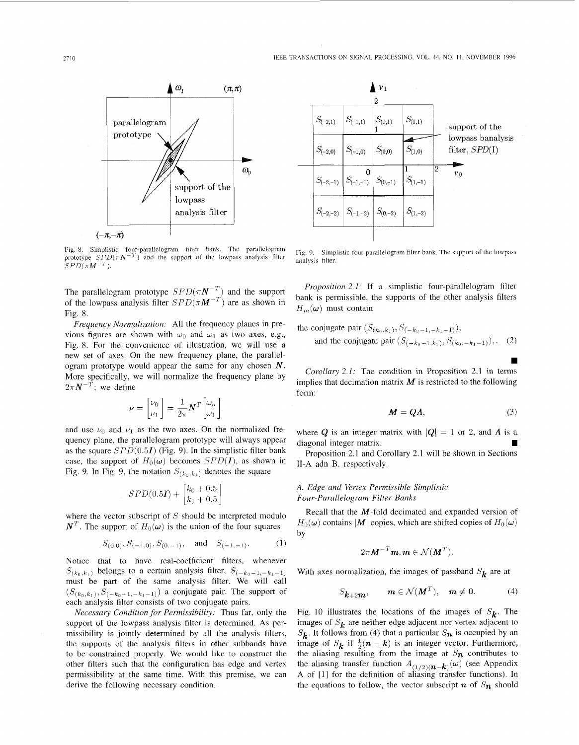

Fig. 8. Simplistic four-parallelogram filter bank. The parallelogram prototype  $SPD(\pi N^{-T})$  and the support of the lowpass analysis filter  $SPD(\pi M^{-T}).$ 

The parallelogram prototype  $SPD(\pi N^{-1})$  and the support of the lowpass analysis filter  $SPD(\pi M^{-1})$  are as shown in Fig. 8.

*Frequency Normalization:* All the frequency planes in previous figures are shown with  $\omega_0$  and  $\omega_1$  as two axes, e.g., Fig. 8. For the convenience of illustration, we will use a new set of axes. On the new frequency plane, the parallelogram prototype would appear the same for any chosen *N.*  More specifically, we will normalize the frequency plane by  $2\pi N^{-T}$ ; we define

$$
\boldsymbol{\nu} = \begin{bmatrix} \nu_0 \\ \nu_1 \end{bmatrix} = \frac{1}{2\pi} \boldsymbol{N}^T \begin{bmatrix} \omega_0 \\ \omega_1 \end{bmatrix}
$$

and use  $\nu_0$  and  $\nu_1$  as the two axes. On the normalized frequency plane, the parallelogram prototype will always appear as the square *SPD(O.51)* (Fig. 9). In the simplistic filter bank case, the support of  $H_0(\omega)$  becomes *SPD(1)*, as shown in Fig. 9. In Fig. 9, the notation  $S_{(k_0, k_1)}$  denotes the square

$$
SPD(0.5I) + \begin{bmatrix} k_0 + 0.5\\ k_1 + 0.5 \end{bmatrix}
$$

where the vector subscript of  $S$  should be interpreted modulo  $N<sup>T</sup>$ . The support of  $H<sub>0</sub>(\omega)$  is the union of the four squares

$$
S_{(0,0)}, S_{(-1,0)}, S_{(0,-1)}, \text{ and } S_{(-1,-1)}.
$$
 (1)

Notice that to have real-coefficient filters, whenever  $S_{(k_0,k_1)}$  belongs to a certain analysis filter,  $S_{(-k_0-1,-k_1-1)}$ must be part of the same analysis filter. We will call  $(S_{(k_0,k_1)}, S_{(-k_0-1,-k_1-1)})$  a conjugate pair. The support of each analysis filter consists of two conjugate pairs.

*Necessary Condition for Permissibility:* Thus far, only the support of the lowpass analysis filter is determined. As permissibility is jointly determined by all the analysis filters. the supports of the analysis filters in other subbands have to be constrained properly. We would like to construct the other filters such that the configuration has edge and vertex permissibility at the same time. With this premise, we can derive the following necessary condition.



Fig. 9. Simplistic four-parallelogram filter bank. The support of the lowpass analysis filter.

*Proposition 2. I:* If a simplistic four-parallelogram filter bank is permissible, the supports of the other analysis filters  $H_m(\omega)$  must contain

the conjugate pair 
$$
(S_{(k_0,k_1)}, S_{(-k_0-1,-k_1-1)}),
$$
  
and the conjugate pair  $(S_{(-k_0-1,k_1)}, S_{(k_0,-k_1-1)}),$  (2)

*Corollary 2.1:* The condition in Proposition 2.1 in terms implies that decimation matrix  $M$  is restricted to the following form:

$$
M = Q\Lambda,\tag{3}
$$

where Q is an integer matrix with  $|Q| = 1$  or 2, and  $\Lambda$  is a diagonal integer matrix.

Proposition 2.1 and Corollary 2.1 will be shown in Sections 11-A adn B, respectively.

# *A. Edge and Vertex Permissible Simplistic*

*Four-Parallelogram Filter Bunks* 

Recall that the M-fold decimated and expanded version of  $H_0(\omega)$  contains *M* copies, which are shifted copies of  $H_0(\omega)$ by

$$
2\pi M^{-T}\mathbf{m}, \mathbf{m} \in \mathcal{N}(\mathbf{M}^T).
$$

With axes normalization, the images of passband  $S_k$  are at

$$
S_{k+2m}, \qquad m \in \mathcal{N}(M^T), \quad m \neq 0. \tag{4}
$$

[Fig. 10](#page-4-0) illustrates the locations of the images of  $S_k$ . The images of  $S_k$  are neither edge adjacent nor vertex adjacent to  $S_k$ . It follows from (4) that a particular  $S_n$  is occupied by an image of  $S_k$  if  $\frac{1}{2}(n - k)$  is an integer vector. Furthermore, the aliasing resulting from the image at  $S_n$  contributes to **A** of [l] for the definition of aliasing transfer functions). In the equations to follow, the vector subscript  $n$  of  $S_n$  should the aliasing transfer function  $A_{(1/2)(n-k)}(\omega)$  (see Appendix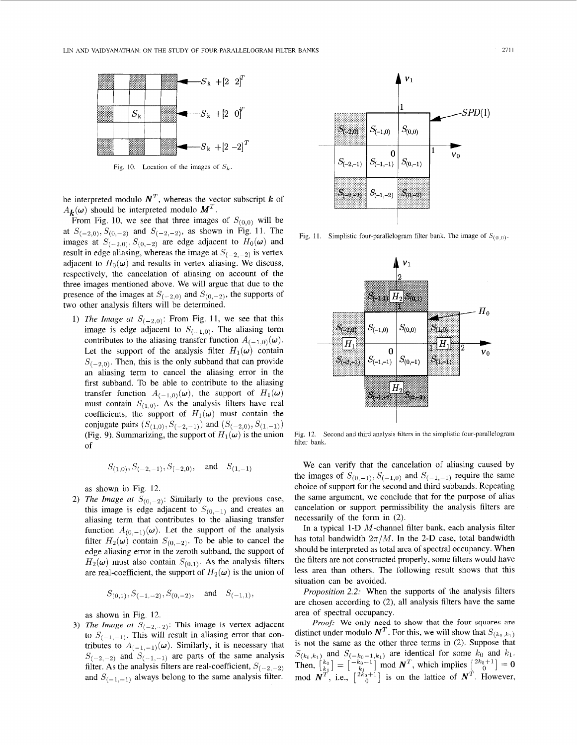<span id="page-4-0"></span>

Fig. 10. Location of the images of  $S_k$ .

be interpreted modulo  $N^T$ , whereas the vector subscript *k* of  $A_k(\omega)$  should be interpreted modulo  $M<sup>T</sup>$ .

From Fig. 10, we see that three images of  $S_{(0,0)}$  will be at  $S_{(-2,0)}, S_{(0,-2)}$  and  $S_{(-2,-2)}$ , as shown in Fig. 11. The images at  $S_{(-2,0)}, S_{(0,-2)}$  are edge adjacent to  $H_0(\omega)$  and result in edge aliasing, whereas the image at  $S_{(-2,-2)}$  is vertex adjacent to  $H_0(\omega)$  and results in vertex aliasing. We discuss, respectively, the cancelation of aliasing on account of the three images mentioned above. We will argue that due to the presence of the images at  $S_{(-2,0)}$  and  $S_{(0,-2)}$ , the supports of two other analysis filters will be determined.

1) *The Image at*  $S_{(-2,0)}$ : From Fig. 11, we see that this image is edge adjacent to  $S_{(-1,0)}$ . The aliasing term contributes to the aliasing transfer function  $A_{(-1,0)}(\omega)$ . Let the support of the analysis filter  $H_1(\omega)$  contain  $S_{(-2,0)}$ . Then, this is the only subband that can provide an aliasing term to cancel the aliasing error in the first subband. To be able to contribute to the aliasing transfer function  $A_{(-1,0)}(\omega)$ , the support of  $H_1(\omega)$ must contain  $S_{(1,0)}$ . As the analysis filters have real coefficients, the support of  $H_1(\omega)$  must contain the (Fig. 9). Summarizing, the support of  $H_1(\omega)$  is the union conjugate pairs  $(S_{(1,0)}, S_{(-2,-1)})$  and  $(S_{(-2,0)}, S_{(1,-1)})$ of

$$
S_{(1,0)}, S_{(-2,-1)}, S_{(-2,0)}, \text{ and } S_{(1,-1)}
$$

as shown in Fig. 12.

2) *The Image at*  $S_{(0,-2)}$ : Similarly to the previous case, this image is edge adjacent to  $S_{(0,-1)}$  and creates an aliasing term that contributes to the aliasing transfer function  $A_{(0,-1)}(\omega)$ . Let the support of the analysis filter  $H_2(\omega)$  contain  $S_{(0,-2)}$ . To be able to cancel the edge aliasing error in the zeroth subband, the support of  $H_2(\omega)$  must also contain  $S_{(0,1)}$ . As the analysis filters are real-coefficient, the support of  $H_2(\omega)$  is the union of

$$
S_{(0,1)}, S_{(-1,-2)}, S_{(0,-2)}, \text{ and } S_{(-1,1)}
$$

as shown in Fig. 12.

3) *The Image at*  $S_{(-2,-2)}$ : This image is vertex adjacent to  $S_{(-1,-1)}$ . This will result in aliasing error that contributes to  $A_{(-1,-1)}(\omega)$ . Similarly, it is necessary that  $S_{(-2,-2)}$  and  $S_{(-1,-1)}$  are parts of the same analysis filter. As the analysis filters are real-coefficient,  $S_{(-2,-2)}$ and  $S_{(-1,-1)}$  always belong to the same analysis filter.



Fig. 11. Simplistic four-parallelogram filter bank. The image of  $S_{(0,0)}$ .



Fig. 12. Second and third analysis filters in the simplistic four-parallelogram filter bank.

We can verify that the cancelation of aliasing caused by the images of  $S_{(0,-1)}, S_{(-1,0)}$  and  $S_{(-1,-1)}$  require the same choice of support for the second and third subbands. Repeating the same argument, we conclude that for the purpose of alias cancelation or support permissibility the analysis filters are necessarily of the form in (2).

In a typical 1-D M-channel filter bank, each analysis filter has total bandwidth  $2\pi/M$ . In the 2-D case, total bandwidth should be interpreted as total area of spectral occupancy. When the filters are not constructed properly, some filters would have less area than others. The following result shows that this situation can be avoided.

*Proposition* 2.2: When the supports of the analysis filters are chosen according to *(2),* all analysis filters have the same area of spectral occupancy.

Proof: We only need to show that the four squares are distinct under modulo  $N^T$ . For this, we will show that  $S_{(k_0,k_1)}$ is not the same as the other three terms in (2). Suppose that  $S_{(k_0,k_1)}$  and  $S_{(-k_0-1,k_1)}$  are identical for some  $k_0$  and  $k_1$ . Then,  ${k_0 \brack k} = {\binom{-k_0-1}{k_1}}$  mod  $N^T$ , which implies  ${\binom{2k_0+1}{0}} = 0$ mod  $N^T$ , i.e.,  $\begin{bmatrix} 2\kappa_0+1 \\ 0 \end{bmatrix}$  is on the lattice of  $N^T$ . However,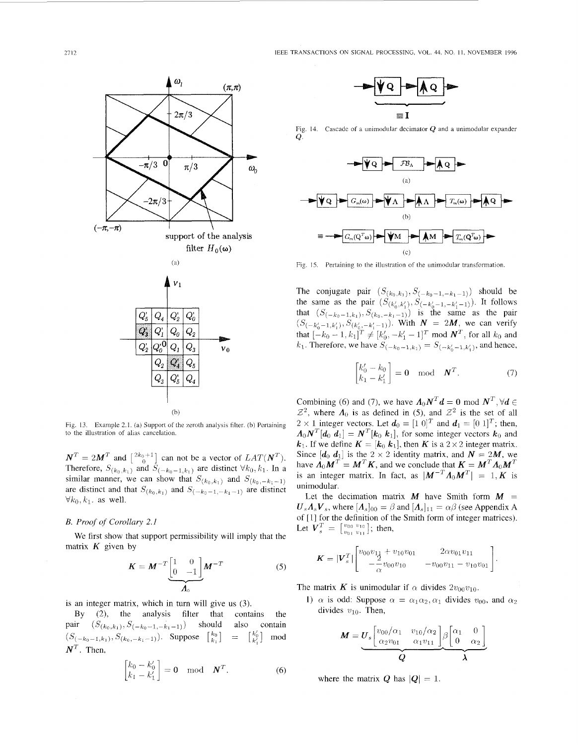<span id="page-5-0"></span>

Fig. 13. Example 2.1. (a) Support of the zeroth analysis filter. (b) Pertaining to the illustration of alias cancelation.

 $N^T = 2M^T$  and  $\begin{bmatrix} 2k_0+1 \\ 0 \end{bmatrix}$  can not be a vector of  $LAT(N^T)$ . Therefore,  $S_{(k_0,k_1)}$  and  $S_{(-k_0-1,k_1)}$  are distinct  $\forall k_0, k_1$ . In a similar manner, we can show that  $S_{(k_0,k_1)}$  and  $S_{(k_0,-k_1-1)}$ are distinct and that  $S_{(k_0,k_1)}$  and  $S_{(-k_0-1,-k_1-1)}$  are distinct  $\forall k_0, k_1$ . as well.

#### *B. Proof of Corollary 2.1*

matrix  $K$  given by We first show that support permissibility will imply that the

$$
K = M^{-T} \underbrace{\begin{bmatrix} 1 & 0 \\ 0 & -1 \end{bmatrix}}_{A_0} M^{-T}
$$
 (5)

is an integer matrix, which in turn will give us (3).

By *(2),* the analysis filter that contains the pair  $(S_{(k_0,k_1)}, S_{(-k_0-1,-k_1-1)})$  should also contain  $N^T$ . Then,  $(S_{(-k_0-1,k_1)}, S_{(k_0,-k_1-1)}).$  **Suppose**  $\begin{bmatrix} k_0 \\ k_1 \end{bmatrix} = \begin{bmatrix} k_0' \\ k_1' \end{bmatrix}$  mod

$$
\begin{bmatrix} k_0 - k'_0 \\ k_1 - k'_1 \end{bmatrix} = \mathbf{0} \quad \text{mod} \quad \mathbf{N}^T.
$$
 (6)



Fig. 14. Cascade of a unirnodular decimator **Q** and a unimodular expander  $Q_{\tau}^{\tau}$ 



ia) Fig. 15. Pertaining to the illustration of the unimodular transformation.

The conjugate pair  $(S_{(k_0,k_1)}, S_{(-k_0-1,-k_1-1)})$  should be the same as the pair  $(S_{(k'_0,k'_1)}, S_{(-k'_0-1,-k'_1-1)})$ . It follows<br>the same as the pair  $(S_{(k'_0,k'_1)}, S_{(-k'_0-1,-k'_1-1)})$ . It follows<br>that  $(S_{(-k_0-1,k_1)}, S_{(k_0,-k_1-1)})$  is the same as the pair<br> $(S_{(-k'_0-1,k'_1)}, S_{(k'_0,-k'_1-1)})$ . With  $N = 2M$ ,

$$
\begin{bmatrix} k'_0 - k_0 \\ k_1 - k'_1 \end{bmatrix} = \mathbf{0} \quad \text{mod} \quad \mathbf{N}^T. \tag{7}
$$

Combining (6) and (7), we have  $A_0N^T d = 0 \text{ mod } N^T$ ,  $\forall d \in$  $Z^2$ , where  $\Lambda_0$  is as defined in (5), and  $Z^2$  is the set of all  $2 \times 1$  integer vectors. Let  $d_0 = \begin{bmatrix} 1 & 0 \end{bmatrix}^T$  and  $d_1 = \begin{bmatrix} 0 & 1 \end{bmatrix}^T$ ; then,  $A_0 N^T[d_0 \, d_1] = N^T[k_0 \, k_1]$ , for some integer vectors  $k_0$  and  $k_1$ . If we define  $K = [k_0, k_1]$ , then *K* is a 2 × 2 integer matrix. Since  $[d_0, d_1]$  is the 2 x 2 identity matrix, and  $N = 2M$ , we have  $\Lambda_0 M^T = M^T K$ , and we conclude that  $K = M^T \Lambda_0 M^T$ is an integer matrix. In fact, as  $|M^{-T}A_0M^T| = 1, K$  is unimodular.

Let the decimation matrix M have Smith form  $M =$  $U_s A_s V_s$ , where  $[A_s]_{00} = \beta$  and  $[A_s]_{11} = \alpha \beta$  (see Appendix A of [ 11 for the definition of the Smith form of integer matrices). Let  $\mathbf{V}_s^T = \begin{bmatrix} v_{00} & v_{10} \\ v_{01} & v_{11} \end{bmatrix}$ ; then,

$$
\boldsymbol{K} = |\boldsymbol{V}_s^T| \begin{bmatrix} v_{00}v_{11} + v_{10}v_{01} & 2\alpha v_{01}v_{11} \\ -\frac{2}{\alpha}v_{00}v_{10} & -v_{00}v_{11} - v_{10}v_{01} \end{bmatrix}.
$$

The matrix *K* is unimodular if  $\alpha$  divides  $2v_{00}v_{10}$ .

1)  $\alpha$  is odd: Suppose  $\alpha = \alpha_1 \alpha_2, \alpha_1$  divides  $v_{00}$ , and  $\alpha_2$ divides  $v_{10}$ . Then,

$$
M = U_s \left[ \frac{v_{00}/\alpha_1}{\alpha_2 v_{01}} \frac{v_{10}/\alpha_2}{\alpha_1 v_{11}} \right] \beta \left[ \frac{\alpha_1}{0} \frac{0}{\alpha_2} \right]
$$

where the matrix  $Q$  has  $|Q| = 1$ .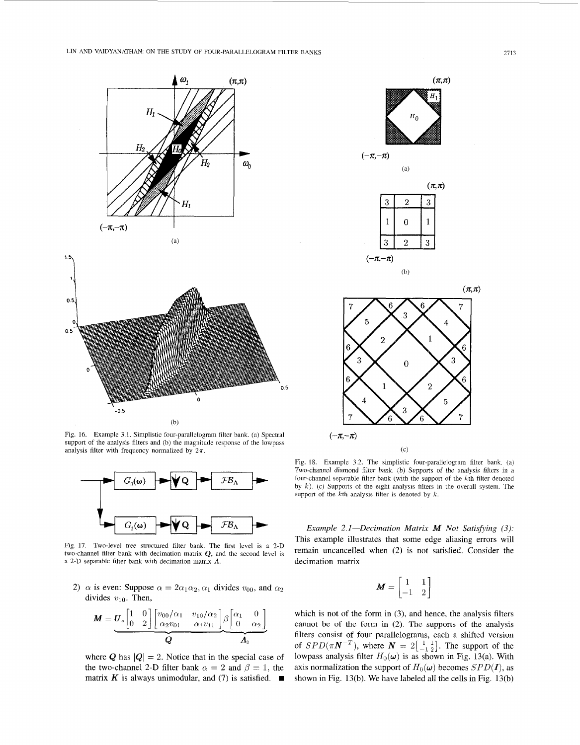<span id="page-6-0"></span>



Fig. 16. Example 3.1. Simplistic four-parallelogram filter bank. (a) Spectral support of the analysis filters and (b) the magnitude response of the lowpass analysis filter with frequency normalized by  $2\pi$ .



Fig. 17. Two-level tree structured filter bank. The first level is a 2-D two-channel filter bank with decimation matrix **Q,** and the second level is a 2-D separable filter bank with decimation matrix *A.* 

2)  $\alpha$  is even: Suppose  $\alpha = 2\alpha_1\alpha_2, \alpha_1$  divides  $v_{00}$ , and  $\alpha_2$ divides  $v_{10}$ . Then,

$$
\mathbf{M} = \underbrace{\mathbf{U}_s \begin{bmatrix} 1 & 0 \\ 0 & 2 \end{bmatrix} \begin{bmatrix} v_{00}/\alpha_1 & v_{10}/\alpha_2 \\ \alpha_2 v_{01} & \alpha_1 v_{11} \end{bmatrix}}_{\mathbf{Q}} \underbrace{\beta \begin{bmatrix} \alpha_1 & 0 \\ 0 & \alpha_2 \end{bmatrix}}_{\mathbf{A}_2}
$$

where *Q* has  $|Q| = 2$ . Notice that in the special case of the two-channel 2-D filter bank  $\alpha = 2$  and  $\beta = 1$ , the matrix K is always unimodular, and (7) is satisfied.  $\blacksquare$ 



$$
u, -u)
$$



 $(b)$ 

 $(a)$ 



 $(\pi,\pi)$ 



Fig. 18. Example 3.2. The simplistic four-parallelogram filter bank. (a) Two-channel diamond filter bank. (b) Supports of the analysis filters in a four-channel separable filter bank (with the support of the kth filter denotcd by *k*). (c) Supports of the eight analysis filters in the overall system. The support of the  $k$ <sup>th</sup> analysis filter is denoted by  $k$ .

*Example 2.1-Decimation Matrix <i>M Not Satisfying (3):* This example illustrates that some edge aliasing errors will remain uncancelled when (2) is not satisfied. Consider the decimation matrix

$$
\boldsymbol{M} = \begin{bmatrix} 1 & 1 \\ -1 & 2 \end{bmatrix}
$$

which is not of the form in (3), and hence, the analysis filters cannot be of the form in (2). The supports of the analysis filters consist of four parallelograms, each a shifted version of  $SPD(\pi N^{-T})$ , where  $N = 2\begin{bmatrix} 1 & 1 \\ -1 & 2 \end{bmatrix}$ . The support of the lowpass analysis filter  $H_0(\omega)$  is as shown in Fig. 13(a). With axis normalization the support of  $H_0(\omega)$  becomes *SPD(I)*, as shown in Fig. 13(b). We have labeled all the cells in Fig. 13(b)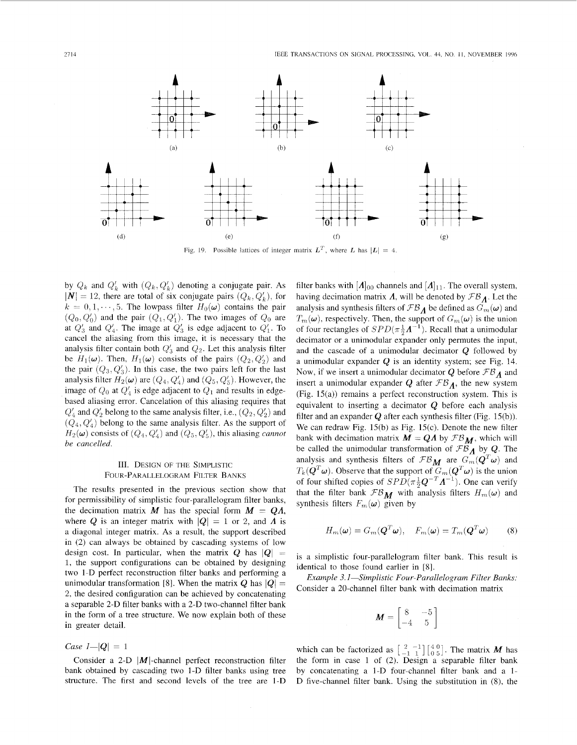

Fig. 19. Possible lattices of integer matrix  $L^T$ , where *L* has  $|L| = 4$ .

by  $Q_k$  and  $Q'_k$  with  $(Q_k, Q'_k)$  denoting a conjugate pair. As  $|N| = 12$ , there are total of six conjugate pairs  $(Q_k, Q'_k)$ , for  $k = 0, 1, \dots, 5$ . The lowpass filter  $H_0(\omega)$  contains the pair  $(Q_0, Q'_0)$  and the pair  $(Q_1, Q'_1)$ . The two images of  $Q_0$  are at  $Q'_3$  and  $Q'_4$ . The image at  $Q'_3$  is edge adjacent to  $Q'_1$ . To cancel the aliasing from this image, it is necessary that the analysis filter contain both  $Q'_3$  and  $Q_2$ . Let this analysis filter be  $H_1(\omega)$ . Then,  $H_1(\omega)$  consists of the pairs  $(Q_2, Q'_2)$  and the pair  $(Q_3, Q'_3)$ . In this case, the two pairs left for the last analysis filter  $H_2(\omega)$  are  $(Q_4, Q'_4)$  and  $(Q_5, Q'_5)$ . However, the image of  $Q_0$  at  $Q'_4$  is edge adjacent to  $Q_1$  and results in edgebased aliasing error. Cancelation of this aliasing requires that  $Q'_4$  and  $Q'_2$  belong to the same analysis filter, i.e.,  $(Q_2, Q'_2)$  and  $(Q_4, Q'_4)$  belong to the same analysis filter. As the support of  $H_2(\omega)$  consists of  $(Q_4, Q'_4)$  and  $(Q_5, Q'_5)$ , this aliasing *cannot be cancelled.* 

# 111. DESIGN OF THE SIMPLISTIC FOUR-PARALLELOGRAM FILTER BANKS

The results presented in the previous section show that for permissibility of simplistic four-parallelogram filter banks, the decimation matrix  $M$  has the special form  $M = QA$ , where *Q* is an integer matrix with  $|Q| = 1$  or 2, and *A* is a diagonal integer matrix. As a result, the support described in (2) can always be obtained by cascading systems of low design cost. In particular, when the matrix  $Q$  has  $|Q|$  = 1, the support configurations can be obtained by designing two 1-D perfect reconstruction filter banks and performing a unimodular transformation [8]. When the matrix Q has  $|Q| =$ 2, the desired configuration can be achieved by concatenating a separable 2-D filter banks with a 2-D two-channel filter bank in the form of a tree structure. We now explain both of these in greater detail.

*Case*  $I - |Q| = 1$ 

Consider a 2-D  $|M|$ -channel perfect reconstruction filter bank obtained by cascading two l-D filter banks using tree structure. The first and second levels of the tree are l-D filter banks with  $[A]_{00}$  channels and  $[A]_{11}$ . The overall system, having decimation matrix  $\Lambda$ , will be denoted by  $\mathcal{FB}_{\Lambda}$ . Let the analysis and synthesis filters of  $\mathcal{FB}_{\Lambda}$  be defined as  $G_m(\boldsymbol{\omega})$  and  $T_m(\omega)$ , respectively. Then, the support of  $G_m(\omega)$  is the union of four rectangles of  $SPD(\pi \frac{1}{2}A^{-1})$ . Recall that a unimodular decimator or a unimodular expander only permutes the input, and the cascade of a unimodular decimator *Q* followed by a unimodular expander **Q** is an identity system; see [Fig. 14](#page-5-0). Now, if we insert a unimodular decimator Q before *FBA* and insert a unimodular expander  $Q$  after  $\mathcal{FB}_{\Lambda}$ , the new system (Fig. 15(a)) remains a perfect reconstruction system. This is equivalent to inserting a decimator  $Q$  before each analysis filter and an expander  $Q$  after each synthesis filter (Fig. 15(b)). We can redraw Fig. 15(b) as Fig. 15(c). Denote the new filter bank with decimation matrix  $M = QA$  by  $FB<sub>M</sub>$ , which will be called the unimodular transformation of  $\mathcal{F}\mathcal{B}_A$  by **Q**. The analysis and synthesis filters of  $\mathcal{FB}_{\mathbf{M}}$  are  $G_m(\mathbf{Q}^T\boldsymbol{\omega})$  and  $T_k(\mathbf{Q}^T\boldsymbol{\omega})$ . Observe that the support of  $G_m(\mathbf{Q}^T\boldsymbol{\omega})$  is the union of four shifted copies of  $SPD(\pi \frac{1}{2}Q^{-T}A^{-1})$ . One can verify that the filter bank  $\mathcal{FB}_M$  with analysis filters  $H_m(\omega)$  and synthesis filters  $F_m(\omega)$  given by

$$
H_m(\boldsymbol{\omega}) = G_m(\boldsymbol{Q}^T \boldsymbol{\omega}), \quad F_m(\boldsymbol{\omega}) = T_m(\boldsymbol{Q}^T \boldsymbol{\omega}) \tag{8}
$$

is a simplistic four-parallelogram filter bank. This result is identical to those found earlier in [SI.

*Example 3.1-Simplistic Four-Parallelogram Filter Bunks:*  Consider a 20-channel filter bank with decimation matrix

$$
\boldsymbol{M} = \begin{bmatrix} 8 & -5 \\ -4 & 5 \end{bmatrix}
$$

which can be factorized as  $\begin{bmatrix} 2 & -1 \\ -1 & 1 \end{bmatrix} \begin{bmatrix} 4 & 0 \\ 0 & 5 \end{bmatrix}$ . The matrix *M* has the form in case 1 of (2). Design a separable filter bank by concatenating a I-D four-channel filter bank and a 1- D five-channel filter bank. Using the substitution in (S), the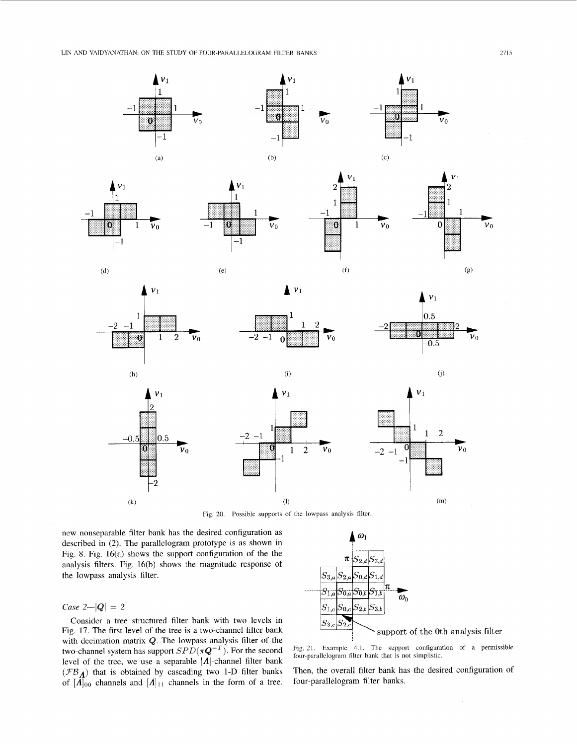<span id="page-8-0"></span>LIN AND VAIDYANATHAN: ON THE STUDY OF FOUR-PARALLELOGRAM FILTER BANKS



 $\mathbf{v}_0$ 







1

 $\pmb{0}$ 

 $(f)$ 

 $\mathbf{1}$ 

 $\overline{v}_0$ 







 $(h)$ 

 $-0.5$ 

 $\left( k\right)$ 

O







 $\overline{2}$ 

1

 $\mathbf{v}_0$ 

 $\overline{a}$ 





 $V_0$ 



I

U

 $-2$   $-1$ 

new nonseparable filter bank has the desired configuration as described in (2). The parallelogram prototype is as shown in Fig. S. Fig. 16(a) shows the support configuration of the the analysis filters. Fig. 16(b) shows the magnitude response of the lowpass analysis filter.

 $_{0.5}$ 

9

# *Case*  $2-|Q| = 2$

Consider a tree structured filter bank with two levels in [Fig. 17.](#page-6-0) The first level of the tree is a two-channel filter bank with decimation matrix Q. The lowpass analysis filter of the two-channel system has support  $SPD(\pi Q^{-T})$ . For the second level of the tree, we use a separable  $|A|$ -channel filter bank  $(FB_A)$  that is obtained by cascading two 1-D filter banks of  $[A]_{00}$  channels and  $[A]_{11}$  channels in the form of a tree.



(1)  $(m)$ 

Fig. 21. [Example 4.1,](#page-9-0) The support configuration of a permissible four-parallelogram filter bank that is not simplistic.

Then, the overall filter bank has the desired configuration of four-parallelogram filter banks.

 $\epsilon$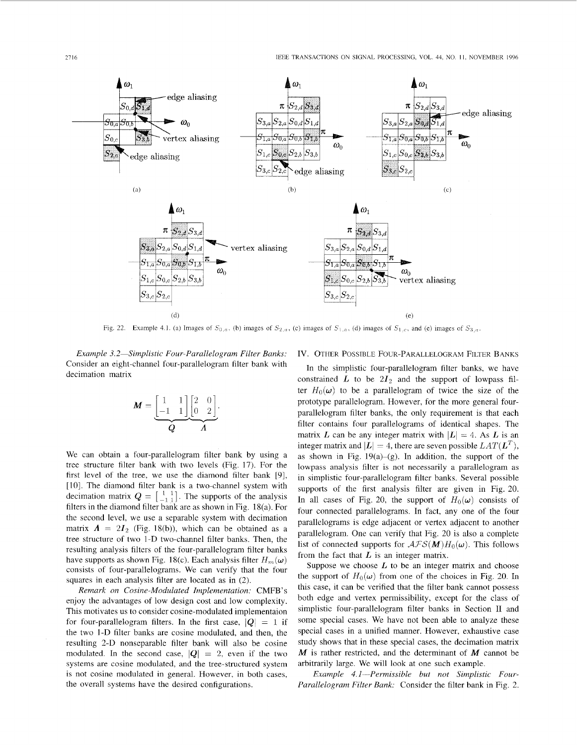<span id="page-9-0"></span>

*Example 3.2-Simplistic Four-Parallelogram Filter Banks:*  Consider an eight-channel four-parallelogram filter bank with decimation matrix

$$
\boldsymbol{M} = \underbrace{\begin{bmatrix} 1 & 1 \\ -1 & 1 \end{bmatrix}}_{\boldsymbol{Q}} \underbrace{\begin{bmatrix} 2 & 0 \\ 0 & 2 \end{bmatrix}}_{\boldsymbol{\varLambda}}.
$$

We can obtain a four-parallelogram filter bank by using a tree structure filter bank with two levels [\(Fig. 17\).](#page-6-0) For the first level of the tree, we use the diamond filter bank [9], [IO]. The diamond filter bank is a two-channel system with decimation matrix  $Q = \begin{bmatrix} 1 & 1 \\ -1 & 1 \end{bmatrix}$ . The supports of the analysis filters in the diamond filter bank are as shown in Fig. 18(a). For the second level, we use a separable system with decimation matrix  $\mathbf{\Lambda} = 2I_2$  (Fig. 18(b)), which can be obtained as a tree structure of two I-D two-channel filter banks. Then, the resulting analysis filters of the four-parallelogram filter banks have supports as shown Fig. 18(c). Each analysis filter  $H_m(\omega)$ consists of four-parallelograms. We can verify that the four squares in each analysis filter are located as in (2).

*Remark on Cosine-Modulated Implementation:* CMFB's enjoy the advantages of low design cost and low complexity. This motivates us to consider cosine-modulated implementaion for four-parallelogram filters. In the first case,  $|Q| = 1$  if the two 1-D filter banks are cosine modulated, and then, the resulting 2-D nonseparable filter bank will also be cosine modulated. In the second case,  $|Q| = 2$ , even if the two systems are cosine modulated, and the tree-structured system is not cosine modulated in general. However, in both cases, the overall systems have the desired configurations.

### IV. OTHER POSSIBLE FOUR-PARALLELOGRAM FILTER BANKS

In the simplistic four-parallelogram filter banks, we have constrained  $L$  to be  $2I_2$  and the support of lowpass filter  $H_0(\omega)$  to be a parallelogram of twice the size of the prototype parallelogram. However, for the more general fourparallelogram filter banks, the only requirement is that each filter contains four parallelograms of identical shapes. The matrix *L* can be any integer matrix with  $|L| = 4$ . As *L* is an integer matrix and  $|L| = 4$ , there are seven possible  $LAT(L^T)$ , as shown in Fig.  $19(a)-(g)$ . In addition, the support of the lowpass analysis filter is not necessarily a parallelogram as in simplistic four-parallelogram filter banks. Several possible supports of the first analysis filter are given in [Fig. 20.](#page-8-0) In all cases of [Fig. 20,](#page-8-0) the support of  $H_0(\omega)$  consists of four connected parallelograms. In fact, any one of the four parallelograms is edge adjacent or vertex adjacent to another parallelogram. One can verify that [Fig. 20](#page-8-0) is also a complete list of connected supports for  $\mathcal{AFS}(M)H_0(\omega)$ . This follows from the fact that  $L$  is an integer matrix.

Suppose we choose  $L$  to be an integer matrix and choose the support of  $H_0(\omega)$  from one of the choices in [Fig. 20.](#page-8-0) In this case, it can be verified that the filter bank cannot possess both edge and vertex permissibility, except for the class of simplistic four-parallelogram filter banks in Section **I1** and some special cases. We have not been able to analyze these special cases in a unified manner. However, exhaustive case study shows that in these special cases, the decimation matrix *M* is rather restricted, and the determinant of *M* cannot be arbitrarily large. We will look at one such example.

*Example 4.1-Permissible but not Simplistic Four-Parallelogram Filter Bank:* Consider the filter bank in [Fig.](#page-0-0) *2.*